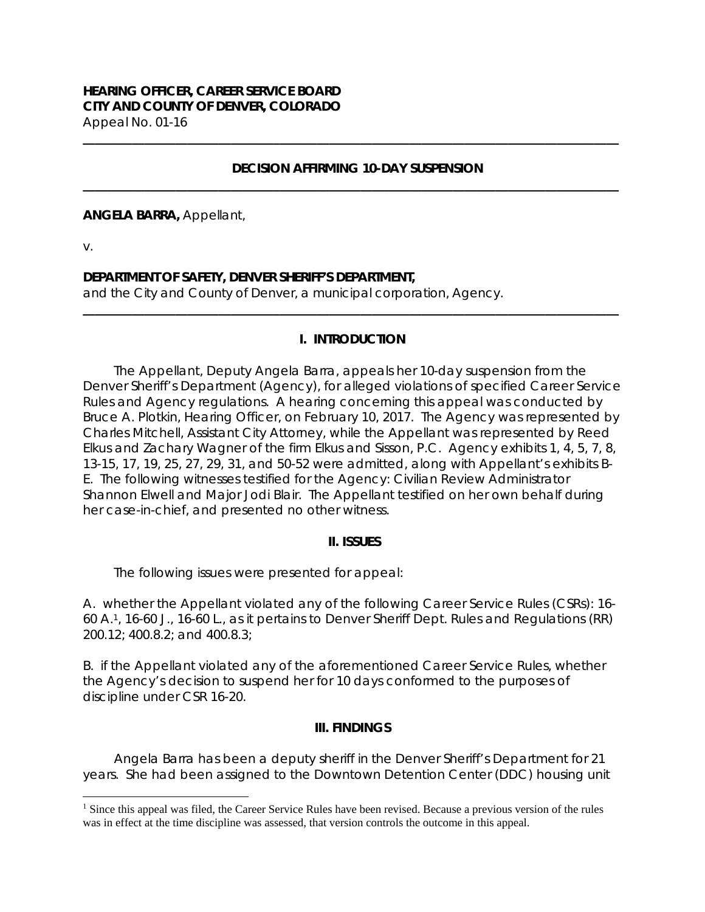### **DECISION AFFIRMING 10-DAY SUSPENSION \_\_\_\_\_\_\_\_\_\_\_\_\_\_\_\_\_\_\_\_\_\_\_\_\_\_\_\_\_\_\_\_\_\_\_\_\_\_\_\_\_\_\_\_\_\_\_\_\_\_\_\_\_\_\_\_\_\_\_\_\_\_\_\_\_\_\_\_\_\_\_\_\_\_\_\_\_\_\_\_\_\_\_\_\_\_\_**

**\_\_\_\_\_\_\_\_\_\_\_\_\_\_\_\_\_\_\_\_\_\_\_\_\_\_\_\_\_\_\_\_\_\_\_\_\_\_\_\_\_\_\_\_\_\_\_\_\_\_\_\_\_\_\_\_\_\_\_\_\_\_\_\_\_\_\_\_\_\_\_\_\_\_\_\_\_\_\_\_\_\_\_\_\_\_\_**

**ANGELA BARRA,** Appellant,

v.

i

## **DEPARTMENT OF SAFETY, DENVER SHERIFF'S DEPARTMENT,**

and the City and County of Denver, a municipal corporation, Agency.

# **I. INTRODUCTION**

**\_\_\_\_\_\_\_\_\_\_\_\_\_\_\_\_\_\_\_\_\_\_\_\_\_\_\_\_\_\_\_\_\_\_\_\_\_\_\_\_\_\_\_\_\_\_\_\_\_\_\_\_\_\_\_\_\_\_\_\_\_\_\_\_\_\_\_\_\_\_\_\_\_\_\_\_\_\_\_\_\_\_\_\_\_\_\_** 

The Appellant, Deputy Angela Barra, appeals her 10-day suspension from the Denver Sheriff's Department (Agency), for alleged violations of specified Career Service Rules and Agency regulations. A hearing concerning this appeal was conducted by Bruce A. Plotkin, Hearing Officer, on February 10, 2017. The Agency was represented by Charles Mitchell, Assistant City Attorney, while the Appellant was represented by Reed Elkus and Zachary Wagner of the firm Elkus and Sisson, P.C. Agency exhibits 1, 4, 5, 7, 8, 13-15, 17, 19, 25, 27, 29, 31, and 50-52 were admitted, along with Appellant's exhibits B-E. The following witnesses testified for the Agency: Civilian Review Administrator Shannon Elwell and Major Jodi Blair. The Appellant testified on her own behalf during her case-in-chief, and presented no other witness.

## **II. ISSUES**

The following issues were presented for appeal:

A. whether the Appellant violated any of the following Career Service Rules (CSRs): 16- 60 A.1, 16-60 J., 16-60 L., as it pertains to Denver Sheriff Dept. Rules and Regulations (RR) 200.12; 400.8.2; and 400.8.3;

B. if the Appellant violated any of the aforementioned Career Service Rules, whether the Agency's decision to suspend her for 10 days conformed to the purposes of discipline under CSR 16-20.

## **III. FINDINGS**

Angela Barra has been a deputy sheriff in the Denver Sheriff's Department for 21 years. She had been assigned to the Downtown Detention Center (DDC) housing unit

<sup>&</sup>lt;sup>1</sup> Since this appeal was filed, the Career Service Rules have been revised. Because a previous version of the rules was in effect at the time discipline was assessed, that version controls the outcome in this appeal.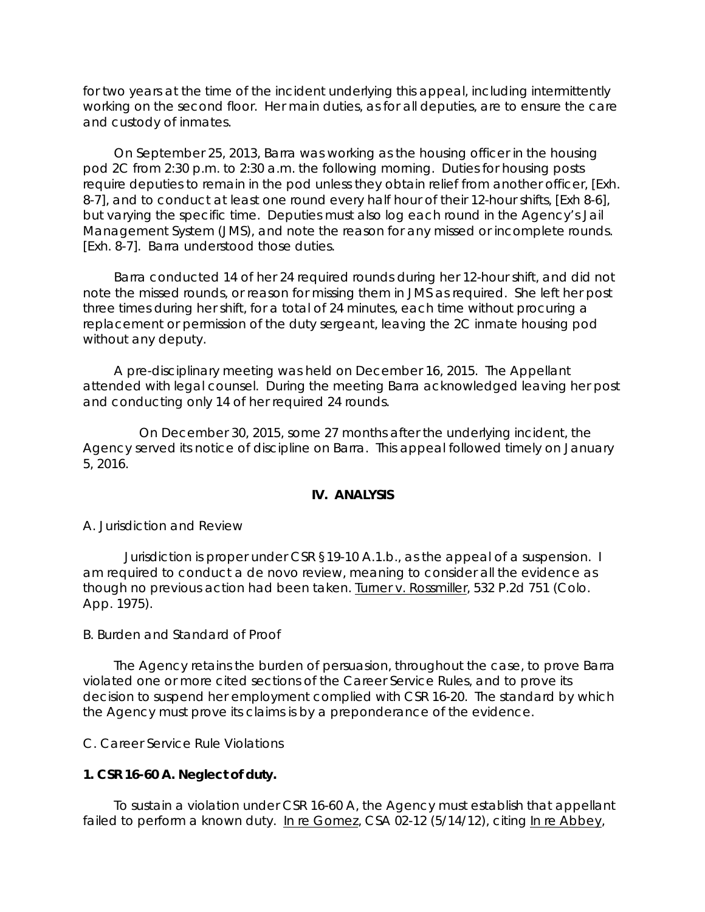for two years at the time of the incident underlying this appeal, including intermittently working on the second floor. Her main duties, as for all deputies, are to ensure the care and custody of inmates.

On September 25, 2013, Barra was working as the housing officer in the housing pod 2C from 2:30 p.m. to 2:30 a.m. the following morning. Duties for housing posts require deputies to remain in the pod unless they obtain relief from another officer, [Exh. 8-7], and to conduct at least one round every half hour of their 12-hour shifts, [Exh 8-6], but varying the specific time. Deputies must also log each round in the Agency's Jail Management System (JMS), and note the reason for any missed or incomplete rounds. [Exh. 8-7]. Barra understood those duties.

Barra conducted 14 of her 24 required rounds during her 12-hour shift, and did not note the missed rounds, or reason for missing them in JMS as required. She left her post three times during her shift, for a total of 24 minutes, each time without procuring a replacement or permission of the duty sergeant, leaving the 2C inmate housing pod without any deputy.

A pre-disciplinary meeting was held on December 16, 2015. The Appellant attended with legal counsel. During the meeting Barra acknowledged leaving her post and conducting only 14 of her required 24 rounds.

 On December 30, 2015, some 27 months after the underlying incident, the Agency served its notice of discipline on Barra. This appeal followed timely on January 5, 2016.

## **IV. ANALYSIS**

A. Jurisdiction and Review

 Jurisdiction is proper under CSR §19-10 A.1.b., as the appeal of a suspension. I am required to conduct a *de novo* review, meaning to consider all the evidence as though no previous action had been taken. Turner v. Rossmiller, 532 P.2d 751 (Colo. App. 1975).

B. Burden and Standard of Proof

The Agency retains the burden of persuasion, throughout the case, to prove Barra violated one or more cited sections of the Career Service Rules, and to prove its decision to suspend her employment complied with CSR 16-20. The standard by which the Agency must prove its claims is by a preponderance of the evidence.

C. Career Service Rule Violations

#### **1. CSR 16-60 A. Neglect of duty.**

To sustain a violation under CSR 16-60 A, the Agency must establish that appellant failed to perform a known duty. In re Gomez, CSA 02-12 (5/14/12), *citing* In re Abbey,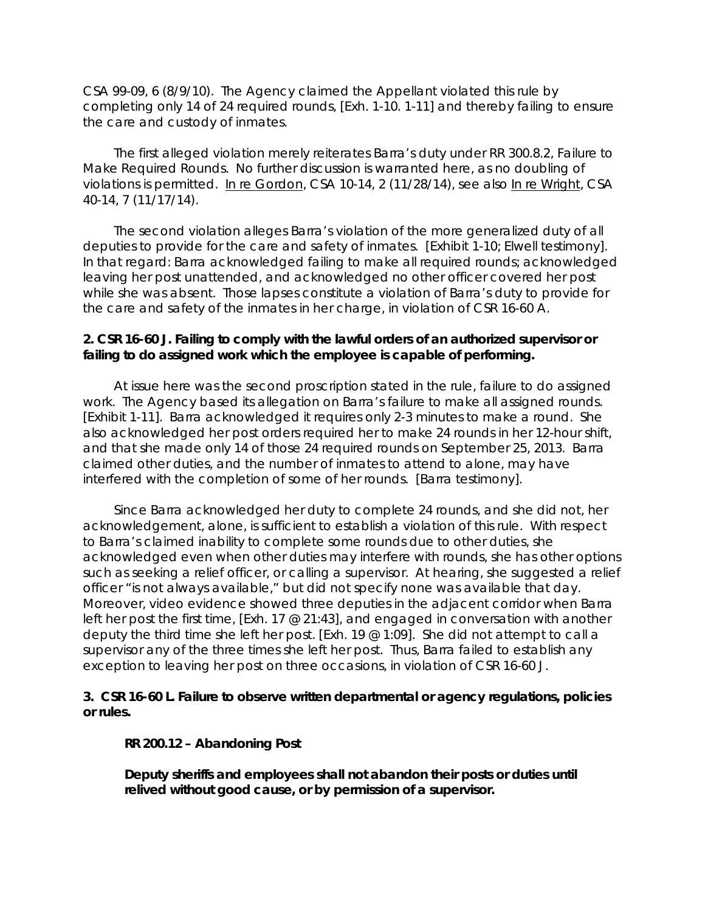CSA 99-09, 6 (8/9/10). The Agency claimed the Appellant violated this rule by completing only 14 of 24 required rounds, [Exh. 1-10. 1-11] and thereby failing to ensure the care and custody of inmates.

The first alleged violation merely reiterates Barra's duty under RR 300.8.2, Failure to Make Required Rounds. No further discussion is warranted here, as no doubling of violations is permitted. In re Gordon, CSA 10-14, 2 (11/28/14), *see also* In re Wright, CSA 40-14, 7 (11/17/14).

The second violation alleges Barra's violation of the more generalized duty of all deputies to provide for the care and safety of inmates. [Exhibit 1-10; Elwell testimony]. In that regard: Barra acknowledged failing to make all required rounds; acknowledged leaving her post unattended, and acknowledged no other officer covered her post while she was absent. Those lapses constitute a violation of Barra's duty to provide for the care and safety of the inmates in her charge, in violation of CSR 16-60 A.

## **2. CSR 16-60 J. Failing to comply with the lawful orders of an authorized supervisor or failing to do assigned work which the employee is capable of performing.**

At issue here was the second proscription stated in the rule, failure to do assigned work. The Agency based its allegation on Barra's failure to make all assigned rounds. [Exhibit 1-11]. Barra acknowledged it requires only 2-3 minutes to make a round. She also acknowledged her post orders required her to make 24 rounds in her 12-hour shift, and that she made only 14 of those 24 required rounds on September 25, 2013. Barra claimed other duties, and the number of inmates to attend to alone, may have interfered with the completion of some of her rounds. [Barra testimony].

Since Barra acknowledged her duty to complete 24 rounds, and she did not, her acknowledgement, alone, is sufficient to establish a violation of this rule. With respect to Barra's claimed inability to complete some rounds due to other duties, she acknowledged even when other duties may interfere with rounds, she has other options such as seeking a relief officer, or calling a supervisor. At hearing, she suggested a relief officer "is not always available," but did not specify none was available that day. Moreover, video evidence showed three deputies in the adjacent corridor when Barra left her post the first time, [Exh. 17 @ 21:43], and engaged in conversation with another deputy the third time she left her post. [Exh. 19 @ 1:09]. She did not attempt to call a supervisor any of the three times she left her post. Thus, Barra failed to establish any exception to leaving her post on three occasions, in violation of CSR 16-60 J.

## **3. CSR 16-60 L. Failure to observe written departmental or agency regulations, policies or rules.**

#### **RR 200.12 – Abandoning Post**

**Deputy sheriffs and employees shall not abandon their posts or duties until relived without good cause, or by permission of a supervisor.**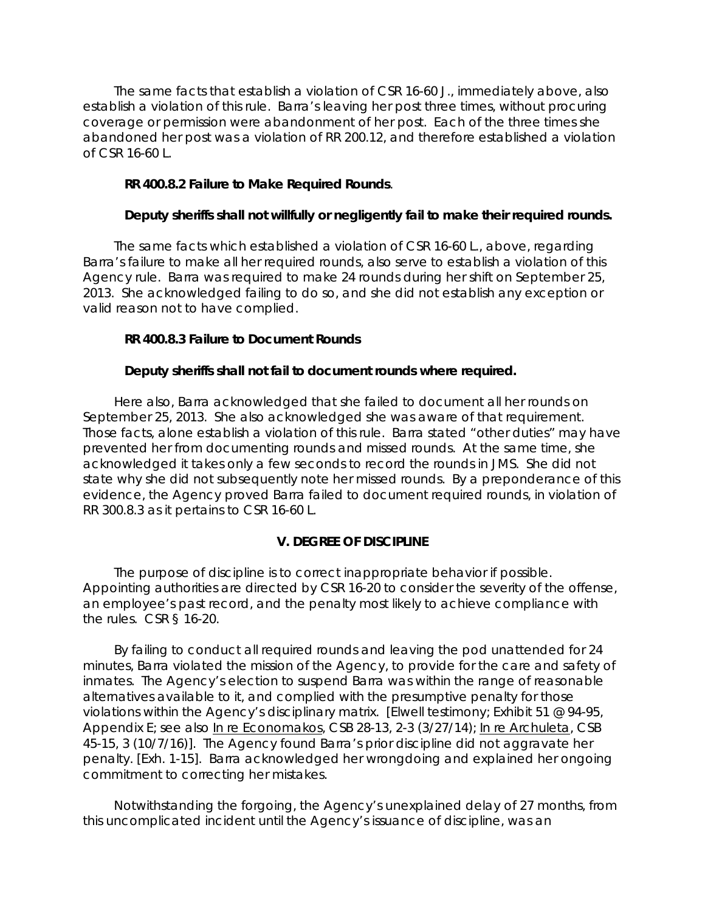The same facts that establish a violation of CSR 16-60 J., immediately above, also establish a violation of this rule. Barra's leaving her post three times, without procuring coverage or permission were abandonment of her post. Each of the three times she abandoned her post was a violation of RR 200.12, and therefore established a violation of CSR 16-60 L.

## **RR 400.8.2 Failure to Make Required Rounds**.

## **Deputy sheriffs shall not willfully or negligently fail to make their required rounds.**

The same facts which established a violation of CSR 16-60 L., above, regarding Barra's failure to make all her required rounds, also serve to establish a violation of this Agency rule. Barra was required to make 24 rounds during her shift on September 25, 2013. She acknowledged failing to do so, and she did not establish any exception or valid reason not to have complied.

## **RR 400.8.3 Failure to Document Rounds**

### **Deputy sheriffs shall not fail to document rounds where required.**

Here also, Barra acknowledged that she failed to document all her rounds on September 25, 2013. She also acknowledged she was aware of that requirement. Those facts, alone establish a violation of this rule. Barra stated "other duties" may have prevented her from documenting rounds and missed rounds. At the same time, she acknowledged it takes only a few seconds to record the rounds in JMS. She did not state why she did not subsequently note her missed rounds. By a preponderance of this evidence, the Agency proved Barra failed to document required rounds, in violation of RR 300.8.3 as it pertains to CSR 16-60 L.

## **V. DEGREE OF DISCIPLINE**

The purpose of discipline is to correct inappropriate behavior if possible. Appointing authorities are directed by CSR 16-20 to consider the severity of the offense, an employee's past record, and the penalty most likely to achieve compliance with the rules. CSR § 16-20.

By failing to conduct all required rounds and leaving the pod unattended for 24 minutes, Barra violated the mission of the Agency, to provide for the care and safety of inmates. The Agency's election to suspend Barra was within the range of reasonable alternatives available to it, and complied with the presumptive penalty for those violations within the Agency's disciplinary matrix. [Elwell testimony; Exhibit 51 @ 94-95, Appendix E; *see also* In re Economakos, CSB 28-13, 2-3 (3/27/14); In re Archuleta, CSB 45-15, 3 (10/7/16)]. The Agency found Barra's prior discipline did not aggravate her penalty. [Exh. 1-15]. Barra acknowledged her wrongdoing and explained her ongoing commitment to correcting her mistakes.

Notwithstanding the forgoing, the Agency's unexplained delay of 27 months, from this uncomplicated incident until the Agency's issuance of discipline, was an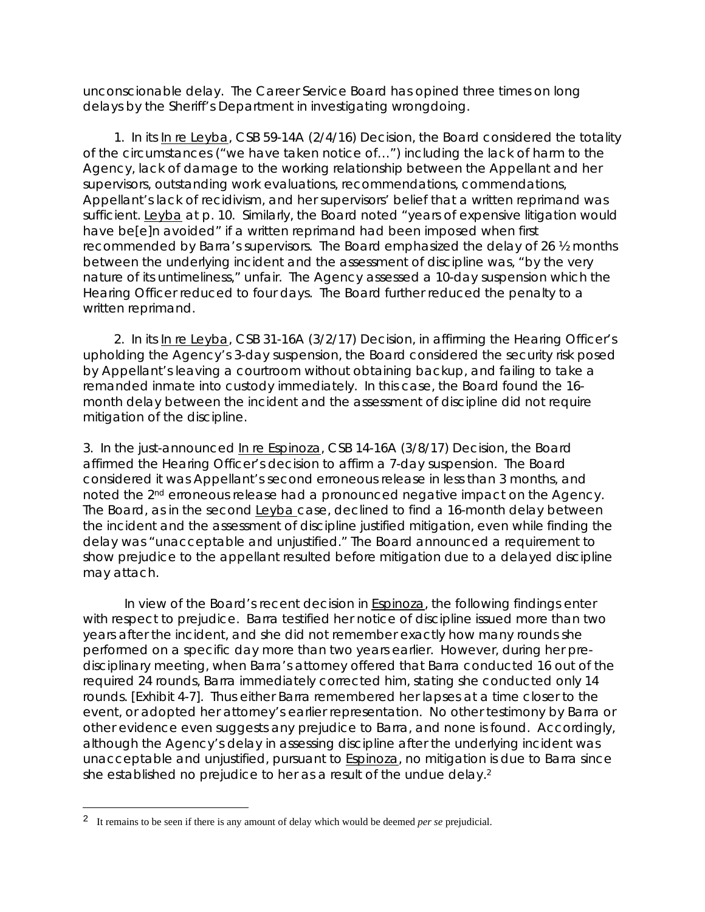unconscionable delay. The Career Service Board has opined three times on long delays by the Sheriff's Department in investigating wrongdoing.

1. In its In re Leyba, CSB 59-14A (2/4/16) Decision, the Board considered the totality of the circumstances ("we have taken notice of…") including the lack of harm to the Agency, lack of damage to the working relationship between the Appellant and her supervisors, outstanding work evaluations, recommendations, commendations, Appellant's lack of recidivism, and her supervisors' belief that a written reprimand was sufficient. Leyba at p. 10. Similarly, the Board noted "years of expensive litigation would have be[e]n avoided" if a written reprimand had been imposed when first recommended by Barra's supervisors. The Board emphasized the delay of 26 ½ months between the underlying incident and the assessment of discipline was, "by the very nature of its untimeliness," unfair. The Agency assessed a 10-day suspension which the Hearing Officer reduced to four days. The Board further reduced the penalty to a written reprimand.

2. In its In re Leyba, CSB 31-16A (3/2/17) Decision, in affirming the Hearing Officer's upholding the Agency's 3-day suspension, the Board considered the security risk posed by Appellant's leaving a courtroom without obtaining backup, and failing to take a remanded inmate into custody immediately. In this case, the Board found the 16 month delay between the incident and the assessment of discipline did not require mitigation of the discipline.

3. In the just-announced In re Espinoza, CSB 14-16A (3/8/17) Decision, the Board affirmed the Hearing Officer's decision to affirm a 7-day suspension. The Board considered it was Appellant's second erroneous release in less than 3 months, and noted the 2<sup>nd</sup> erroneous release had a pronounced negative impact on the Agency. The Board, as in the second Leyba case, declined to find a 16-month delay between the incident and the assessment of discipline justified mitigation, even while finding the delay was "unacceptable and unjustified." The Board announced a requirement to show prejudice to the appellant resulted before mitigation due to a delayed discipline may attach.

In view of the Board's recent decision in Espinoza, the following findings enter with respect to prejudice. Barra testified her notice of discipline issued more than two years after the incident, and she did not remember exactly how many rounds she performed on a specific day more than two years earlier. However, during her predisciplinary meeting, when Barra's attorney offered that Barra conducted 16 out of the required 24 rounds, Barra immediately corrected him, stating she conducted only 14 rounds. [Exhibit 4-7]. Thus either Barra remembered her lapses at a time closer to the event, or adopted her attorney's earlier representation. No other testimony by Barra or other evidence even suggests any prejudice to Barra, and none is found. Accordingly, although the Agency's delay in assessing discipline after the underlying incident was unacceptable and unjustified, pursuant to **Espinoza**, no mitigation is due to Barra since she established no prejudice to her as a result of the undue delay.<sup>2</sup>

i

<sup>2</sup> It remains to be seen if there is any amount of delay which would be deemed *per se* prejudicial.